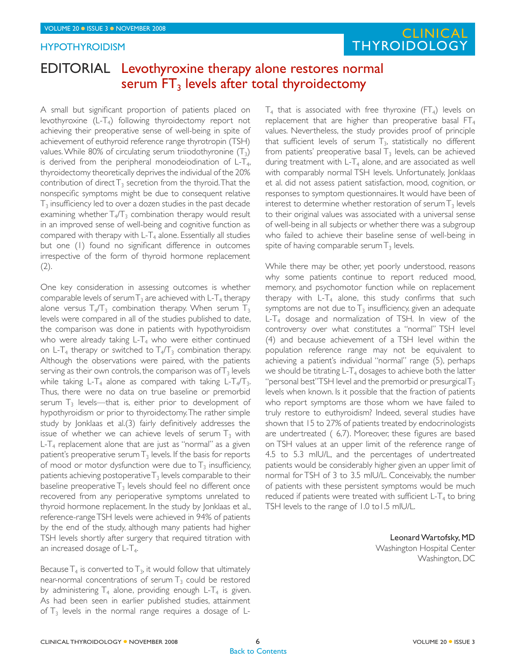### **HYPOTHYROIDISM**

# FOLUME 20 0 ISSUE 3 0 NOVEMBER 2008  $\blacksquare$ **THYROIDOLOGY**

## EDITORIAL Levothyroxine therapy alone restores normal serum  $FT_3$  levels after total thyroidectomy

A small but significant proportion of patients placed on levothyroxine  $(L-T_4)$  following thyroidectomy report not achieving their preoperative sense of well-being in spite of achievement of euthyroid reference range thyrotropin (TSH) values. While 80% of circulating serum triiodothyronine  $(T_3)$ is derived from the peripheral monodeiodination of  $L-T_4$ , thyroidectomy theoretically deprives the individual of the 20% contribution of direct  $T_3$  secretion from the thyroid. That the nonspecific symptoms might be due to consequent relative  $T_3$  insufficiency led to over a dozen studies in the past decade examining whether  $T_4/T_3$  combination therapy would result in an improved sense of well-being and cognitive function as compared with therapy with  $L-T_4$  alone. Essentially all studies but one (1) found no significant difference in outcomes irrespective of the form of thyroid hormone replacement  $(2).$ 

One key consideration in assessing outcomes is whether comparable levels of serum  $T_3$  are achieved with L-T<sub>4</sub> therapy alone versus  $T_4/T_3$  combination therapy. When serum  $T_3$ levels were compared in all of the studies published to date, the comparison was done in patients with hypothyroidism who were already taking  $L-T_4$  who were either continued on L-T<sub>4</sub> therapy or switched to  $T_4/T_3$  combination therapy. Although the observations were paired, with the patients serving as their own controls, the comparison was of  $T_3$  levels while taking L-T<sub>4</sub> alone as compared with taking L-T<sub>4</sub>/T<sub>3</sub>. Thus, there were no data on true baseline or premorbid serum  $T_3$  levels—that is, either prior to development of hypothyroidism or prior to thyroidectomy. The rather simple study by Jonklaas et al.(3) fairly definitively addresses the issue of whether we can achieve levels of serum  $T_3$  with  $L-T_4$  replacement alone that are just as "normal" as a given patient's preoperative serum  $T_3$  levels. If the basis for reports of mood or motor dysfunction were due to  $T_3$  insufficiency, patients achieving postoperative  $T_3$  levels comparable to their baseline preoperative  $T_3$  levels should feel no different once recovered from any perioperative symptoms unrelated to thyroid hormone replacement. In the study by Jonklaas et al., reference-range TSH levels were achieved in 94% of patients by the end of the study, although many patients had higher TSH levels shortly after surgery that required titration with an increased dosage of  $L-T_4$ .

Because  $T_4$  is converted to  $T_3$ , it would follow that ultimately near-normal concentrations of serum  $T<sub>3</sub>$  could be restored by administering  $T_4$  alone, providing enough L-T<sub>4</sub> is given. As had been seen in earlier published studies, attainment of  $T_3$  levels in the normal range requires a dosage of L-

 $T_4$  that is associated with free thyroxine (FT<sub>4</sub>) levels on replacement that are higher than preoperative basal  $FT_4$ values. Nevertheless, the study provides proof of principle that sufficient levels of serum  $T_3$ , statistically no different from patients' preoperative basal  $T_3$  levels, can be achieved during treatment with  $L-T_4$  alone, and are associated as well with comparably normal TSH levels. Unfortunately, Jonklaas et al. did not assess patient satisfaction, mood, cognition, or responses to symptom questionnaires. It would have been of interest to determine whether restoration of serum  $T_3$  levels to their original values was associated with a universal sense of well-being in all subjects or whether there was a subgroup who failed to achieve their baseline sense of well-being in spite of having comparable serum  $T_3$  levels.

While there may be other, yet poorly understood, reasons why some patients continue to report reduced mood, memory, and psychomotor function while on replacement therapy with  $L-T_4$  alone, this study confirms that such symptoms are not due to  $T_3$  insufficiency, given an adequate L-T<sub>4</sub> dosage and normalization of TSH. In view of the controversy over what constitutes a "normal" TSH level (4) and because achievement of a TSH level within the population reference range may not be equivalent to achieving a patient's individual "normal" range (5), perhaps we should be titrating  $L-T_4$  dosages to achieve both the latter "personal best"TSH level and the premorbid or presurgical  $T_3$ levels when known. Is it possible that the fraction of patients who report symptoms are those whom we have failed to truly restore to euthyroidism? Indeed, several studies have shown that 15 to 27% of patients treated by endocrinologists are undertreated  $(6,7)$ . Moreover, these figures are based on TSH values at an upper limit of the reference range of 4.5 to 5.3 mIU/L, and the percentages of undertreated patients would be considerably higher given an upper limit of normal for TSH of 3 to 3.5 mIU/L. Conceivably, the number of patients with these persistent symptoms would be much reduced if patients were treated with sufficient  $L-T_4$  to bring TSH levels to the range of 1.0 to 1.5 mIU/L.

> Leonard Wartofsky, MD Washington Hospital Center Washington, DC